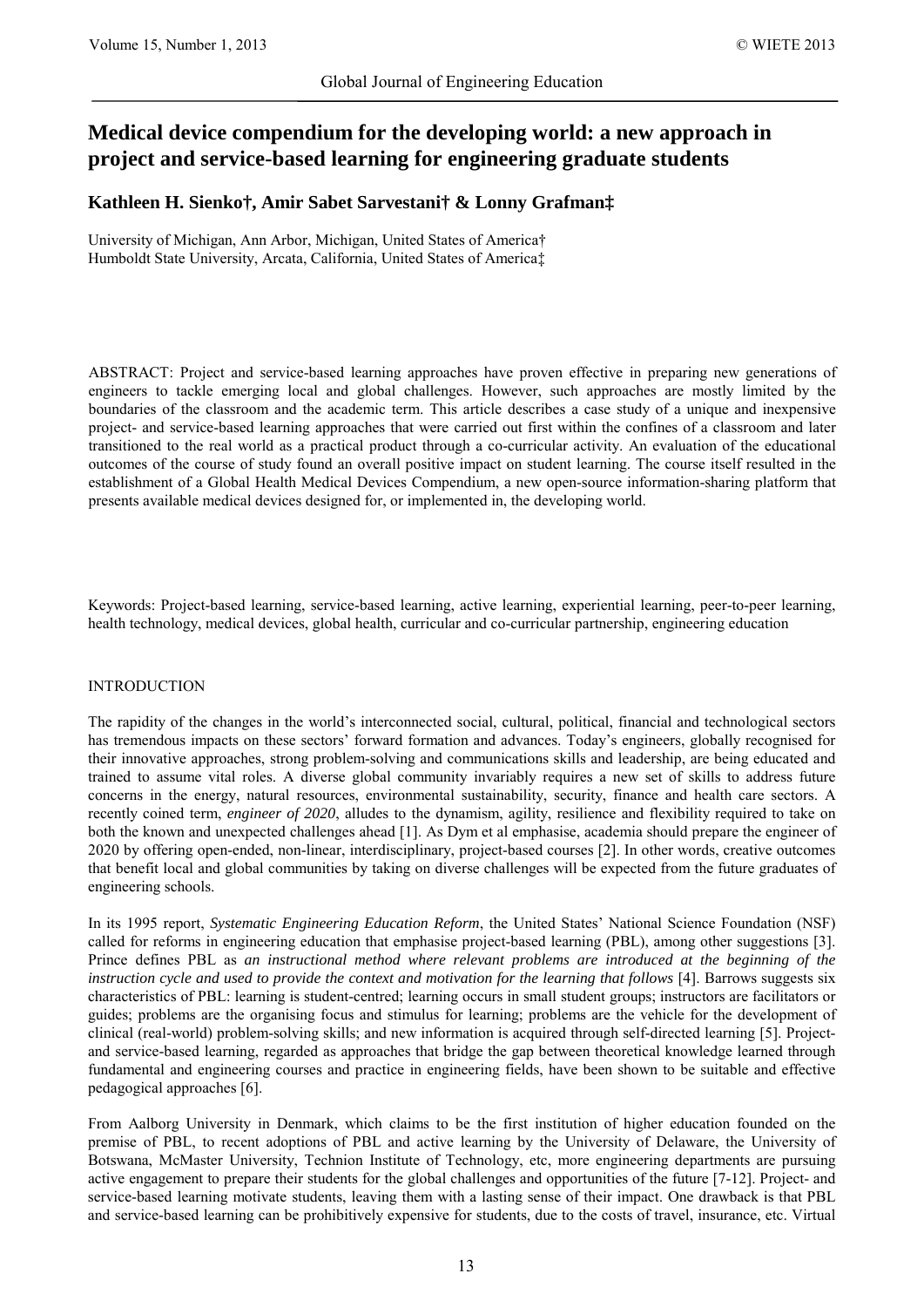# **Medical device compendium for the developing world: a new approach in project and service-based learning for engineering graduate students**

# **Kathleen H. Sienko†, Amir Sabet Sarvestani† & Lonny Grafman‡**

University of Michigan, Ann Arbor, Michigan, United States of America† Humboldt State University, Arcata, California, United States of America‡

ABSTRACT: Project and service-based learning approaches have proven effective in preparing new generations of engineers to tackle emerging local and global challenges. However, such approaches are mostly limited by the boundaries of the classroom and the academic term. This article describes a case study of a unique and inexpensive project- and service-based learning approaches that were carried out first within the confines of a classroom and later transitioned to the real world as a practical product through a co-curricular activity. An evaluation of the educational outcomes of the course of study found an overall positive impact on student learning. The course itself resulted in the establishment of a Global Health Medical Devices Compendium, a new open-source information-sharing platform that presents available medical devices designed for, or implemented in, the developing world.

Keywords: Project-based learning, service-based learning, active learning, experiential learning, peer-to-peer learning, health technology, medical devices, global health, curricular and co-curricular partnership, engineering education

# INTRODUCTION

The rapidity of the changes in the world's interconnected social, cultural, political, financial and technological sectors has tremendous impacts on these sectors' forward formation and advances. Today's engineers, globally recognised for their innovative approaches, strong problem-solving and communications skills and leadership, are being educated and trained to assume vital roles. A diverse global community invariably requires a new set of skills to address future concerns in the energy, natural resources, environmental sustainability, security, finance and health care sectors. A recently coined term, *engineer of 2020*, alludes to the dynamism, agility, resilience and flexibility required to take on both the known and unexpected challenges ahead [\[1\]](#page-5-0). As Dym et al emphasise, academia should prepare the engineer of 2020 by offering open-ended, non-linear, interdisciplinary, project-based courses [\[2\]](#page-5-1). In other words, creative outcomes that benefit local and global communities by taking on diverse challenges will be expected from the future graduates of engineering schools.

In its 1995 report, *Systematic Engineering Education Reform*, the United States' National Science Foundation (NSF) called for reforms in engineering education that emphasise project-based learning (PBL), among other suggestions [\[3\]](#page-5-2). Prince defines PBL as *an instructional method where relevant problems are introduced at the beginning of the instruction cycle and used to provide the context and motivation for the learning that follows* [\[4\]](#page-5-3). Barrows suggests six characteristics of PBL: learning is student-centred; learning occurs in small student groups; instructors are facilitators or guides; problems are the organising focus and stimulus for learning; problems are the vehicle for the development of clinical (real-world) problem-solving skills; and new information is acquired through self-directed learning [\[5\]](#page-5-4). Projectand service-based learning, regarded as approaches that bridge the gap between theoretical knowledge learned through fundamental and engineering courses and practice in engineering fields, have been shown to be suitable and effective pedagogical approaches [\[6\]](#page-6-0).

From Aalborg University in Denmark, which claims to be the first institution of higher education founded on the premise of PBL, to recent adoptions of PBL and active learning by the University of Delaware, the University of Botswana, McMaster University, Technion Institute of Technology, etc, more engineering departments are pursuing active engagement to prepare their students for the global challenges and opportunities of the future [\[7-12\]](#page-6-1). Project- and service-based learning motivate students, leaving them with a lasting sense of their impact. One drawback is that PBL and service-based learning can be prohibitively expensive for students, due to the costs of travel, insurance, etc. Virtual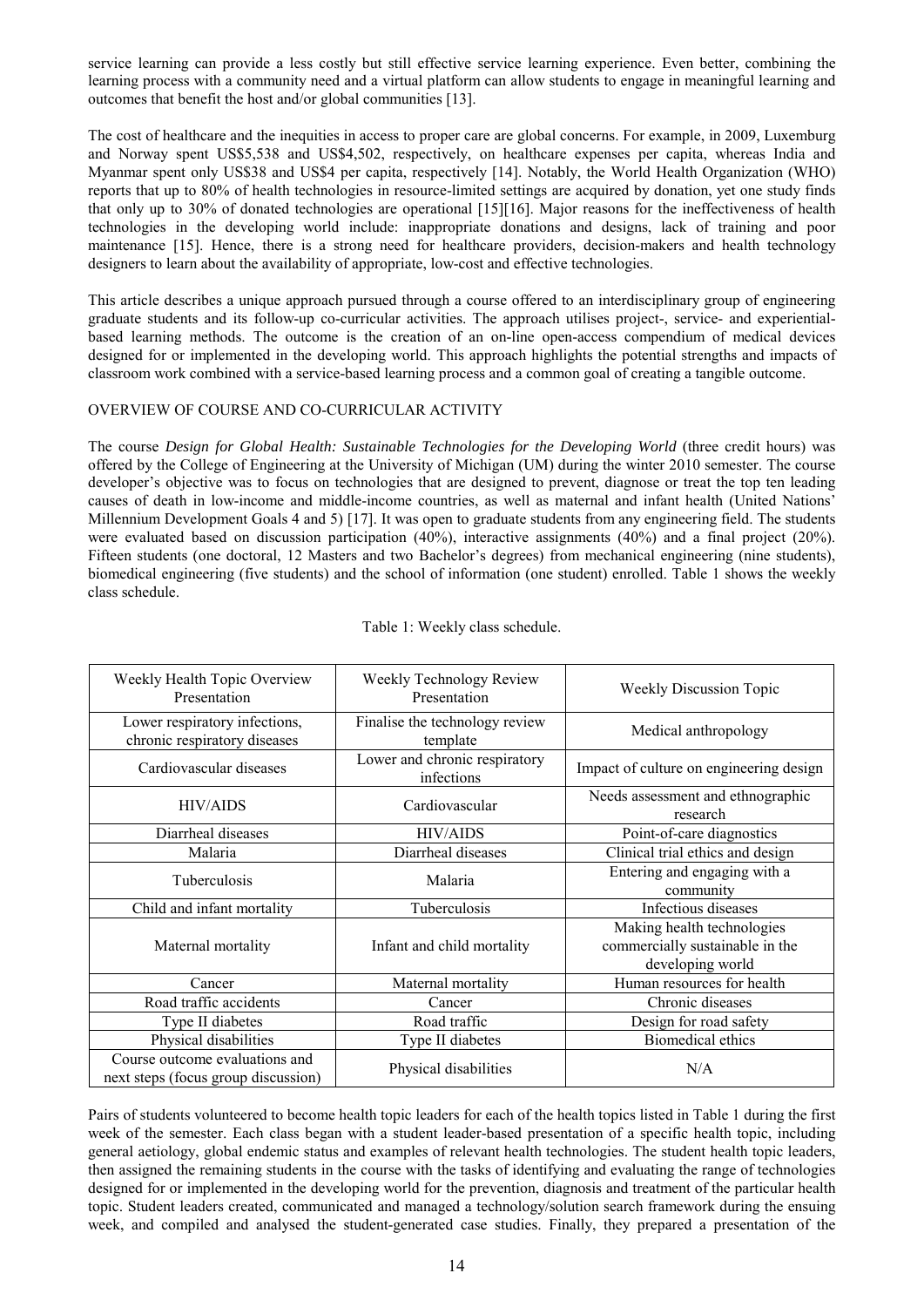service learning can provide a less costly but still effective service learning experience. Even better, combining the learning process with a community need and a virtual platform can allow students to engage in meaningful learning and outcomes that benefit the host and/or global communities [\[13\]](#page-6-2).

The cost of healthcare and the inequities in access to proper care are global concerns. For example, in 2009, Luxemburg and Norway spent US\$5,538 and US\$4,502, respectively, on healthcare expenses per capita, whereas India and Myanmar spent only US\$38 and US\$4 per capita, respectively [\[14\]](#page-6-3). Notably, the World Health Organization (WHO) reports that up to 80% of health technologies in resource-limited settings are acquired by donation, yet one study finds that only up to 30% of donated technologies are operational [\[15\]](#page-6-4)[\[16\]](#page-6-5). Major reasons for the ineffectiveness of health technologies in the developing world include: inappropriate donations and designs, lack of training and poor maintenance [\[15\]](#page-6-4). Hence, there is a strong need for healthcare providers, decision-makers and health technology designers to learn about the availability of appropriate, low-cost and effective technologies.

This article describes a unique approach pursued through a course offered to an interdisciplinary group of engineering graduate students and its follow-up co-curricular activities. The approach utilises project-, service- and experientialbased learning methods. The outcome is the creation of an on-line open-access compendium of medical devices designed for or implemented in the developing world. This approach highlights the potential strengths and impacts of classroom work combined with a service-based learning process and a common goal of creating a tangible outcome.

# OVERVIEW OF COURSE AND CO-CURRICULAR ACTIVITY

The course *Design for Global Health: Sustainable Technologies for the Developing World* (three credit hours) was offered by the College of Engineering at the University of Michigan (UM) during the winter 2010 semester. The course developer's objective was to focus on technologies that are designed to prevent, diagnose or treat the top ten leading causes of death in low-income and middle-income countries, as well as maternal and infant health (United Nations' Millennium Development Goals 4 and 5) [\[17\]](#page-6-6). It was open to graduate students from any engineering field. The students were evaluated based on discussion participation (40%), interactive assignments (40%) and a final project (20%). Fifteen students (one doctoral, 12 Masters and two Bachelor's degrees) from mechanical engineering (nine students), biomedical engineering (five students) and the school of information (one student) enrolled. Table 1 shows the weekly class schedule.

| Weekly Health Topic Overview<br>Presentation                          | Weekly Technology Review<br>Presentation    | <b>Weekly Discussion Topic</b>                                                    |  |
|-----------------------------------------------------------------------|---------------------------------------------|-----------------------------------------------------------------------------------|--|
| Lower respiratory infections,<br>chronic respiratory diseases         | Finalise the technology review<br>template  | Medical anthropology                                                              |  |
| Cardiovascular diseases                                               | Lower and chronic respiratory<br>infections | Impact of culture on engineering design                                           |  |
| <b>HIV/AIDS</b>                                                       | Cardiovascular                              | Needs assessment and ethnographic<br>research                                     |  |
| Diarrheal diseases                                                    | <b>HIV/AIDS</b>                             | Point-of-care diagnostics                                                         |  |
| Malaria                                                               | Diarrheal diseases                          | Clinical trial ethics and design                                                  |  |
| Tuberculosis                                                          | Malaria                                     | Entering and engaging with a<br>community                                         |  |
| Child and infant mortality                                            | Tuberculosis                                | Infectious diseases                                                               |  |
| Maternal mortality                                                    | Infant and child mortality                  | Making health technologies<br>commercially sustainable in the<br>developing world |  |
| Cancer                                                                | Maternal mortality                          | Human resources for health                                                        |  |
| Road traffic accidents                                                | Cancer                                      | Chronic diseases                                                                  |  |
| Type II diabetes                                                      | Road traffic                                | Design for road safety                                                            |  |
| Physical disabilities                                                 | Type II diabetes                            | Biomedical ethics                                                                 |  |
| Course outcome evaluations and<br>next steps (focus group discussion) | Physical disabilities                       | N/A                                                                               |  |

Table 1: Weekly class schedule.

Pairs of students volunteered to become health topic leaders for each of the health topics listed in Table 1 during the first week of the semester. Each class began with a student leader-based presentation of a specific health topic, including general aetiology, global endemic status and examples of relevant health technologies. The student health topic leaders, then assigned the remaining students in the course with the tasks of identifying and evaluating the range of technologies designed for or implemented in the developing world for the prevention, diagnosis and treatment of the particular health topic. Student leaders created, communicated and managed a technology/solution search framework during the ensuing week, and compiled and analysed the student-generated case studies. Finally, they prepared a presentation of the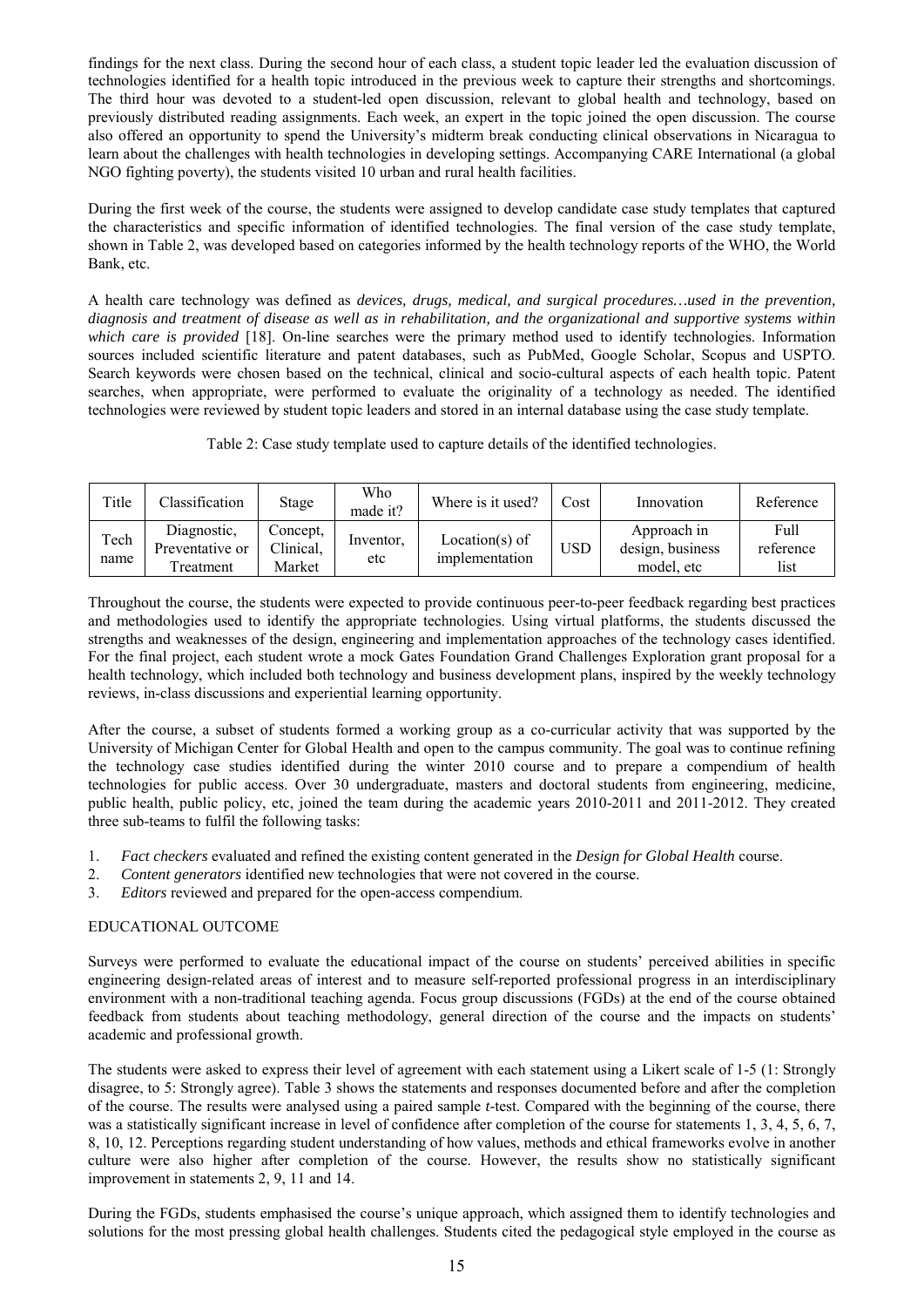findings for the next class. During the second hour of each class, a student topic leader led the evaluation discussion of technologies identified for a health topic introduced in the previous week to capture their strengths and shortcomings. The third hour was devoted to a student-led open discussion, relevant to global health and technology, based on previously distributed reading assignments. Each week, an expert in the topic joined the open discussion. The course also offered an opportunity to spend the University's midterm break conducting clinical observations in Nicaragua to learn about the challenges with health technologies in developing settings. Accompanying CARE International (a global NGO fighting poverty), the students visited 10 urban and rural health facilities.

During the first week of the course, the students were assigned to develop candidate case study templates that captured the characteristics and specific information of identified technologies. The final version of the case study template, shown in Table 2, was developed based on categories informed by the health technology reports of the WHO, the World Bank, etc.

A health care technology was defined as *devices, drugs, medical, and surgical procedures…used in the prevention, diagnosis and treatment of disease as well as in rehabilitation, and the organizational and supportive systems within which care is provided* [18]. On-line searches were the primary method used to identify technologies. Information sources included scientific literature and patent databases, such as PubMed, Google Scholar, Scopus and USPTO. Search keywords were chosen based on the technical, clinical and socio-cultural aspects of each health topic. Patent searches, when appropriate, were performed to evaluate the originality of a technology as needed. The identified technologies were reviewed by student topic leaders and stored in an internal database using the case study template.

|  |  |  |  |  |  | Table 2: Case study template used to capture details of the identified technologies. |
|--|--|--|--|--|--|--------------------------------------------------------------------------------------|
|--|--|--|--|--|--|--------------------------------------------------------------------------------------|

| Title        | Classification                             | Stage                           | Who<br>made it?  | Where is it used?                | Cost       | Innovation                                    | Reference                 |
|--------------|--------------------------------------------|---------------------------------|------------------|----------------------------------|------------|-----------------------------------------------|---------------------------|
| Tech<br>name | Diagnostic.<br>Preventative or<br>reatment | Concept.<br>Clinical,<br>Market | Inventor,<br>etc | Location(s) of<br>implementation | <b>USD</b> | Approach in<br>design, business<br>model, etc | Full<br>reference<br>list |

Throughout the course, the students were expected to provide continuous peer-to-peer feedback regarding best practices and methodologies used to identify the appropriate technologies. Using virtual platforms, the students discussed the strengths and weaknesses of the design, engineering and implementation approaches of the technology cases identified. For the final project, each student wrote a mock Gates Foundation Grand Challenges Exploration grant proposal for a health technology, which included both technology and business development plans, inspired by the weekly technology reviews, in-class discussions and experiential learning opportunity.

After the course, a subset of students formed a working group as a co-curricular activity that was supported by the University of Michigan Center for Global Health and open to the campus community. The goal was to continue refining the technology case studies identified during the winter 2010 course and to prepare a compendium of health technologies for public access. Over 30 undergraduate, masters and doctoral students from engineering, medicine, public health, public policy, etc, joined the team during the academic years 2010-2011 and 2011-2012. They created three sub-teams to fulfil the following tasks:

- 1. *Fact checkers* evaluated and refined the existing content generated in the *Design for Global Health* course.
- 2. *Content generators* identified new technologies that were not covered in the course.
- 3. *Editors* reviewed and prepared for the open-access compendium.

# EDUCATIONAL OUTCOME

Surveys were performed to evaluate the educational impact of the course on students' perceived abilities in specific engineering design-related areas of interest and to measure self-reported professional progress in an interdisciplinary environment with a non-traditional teaching agenda. Focus group discussions (FGDs) at the end of the course obtained feedback from students about teaching methodology, general direction of the course and the impacts on students' academic and professional growth.

The students were asked to express their level of agreement with each statement using a Likert scale of 1-5 (1: Strongly disagree, to 5: Strongly agree). Table 3 shows the statements and responses documented before and after the completion of the course. The results were analysed using a paired sample *t*-test. Compared with the beginning of the course, there was a statistically significant increase in level of confidence after completion of the course for statements 1, 3, 4, 5, 6, 7, 8, 10, 12. Perceptions regarding student understanding of how values, methods and ethical frameworks evolve in another culture were also higher after completion of the course. However, the results show no statistically significant improvement in statements 2, 9, 11 and 14.

During the FGDs, students emphasised the course's unique approach, which assigned them to identify technologies and solutions for the most pressing global health challenges. Students cited the pedagogical style employed in the course as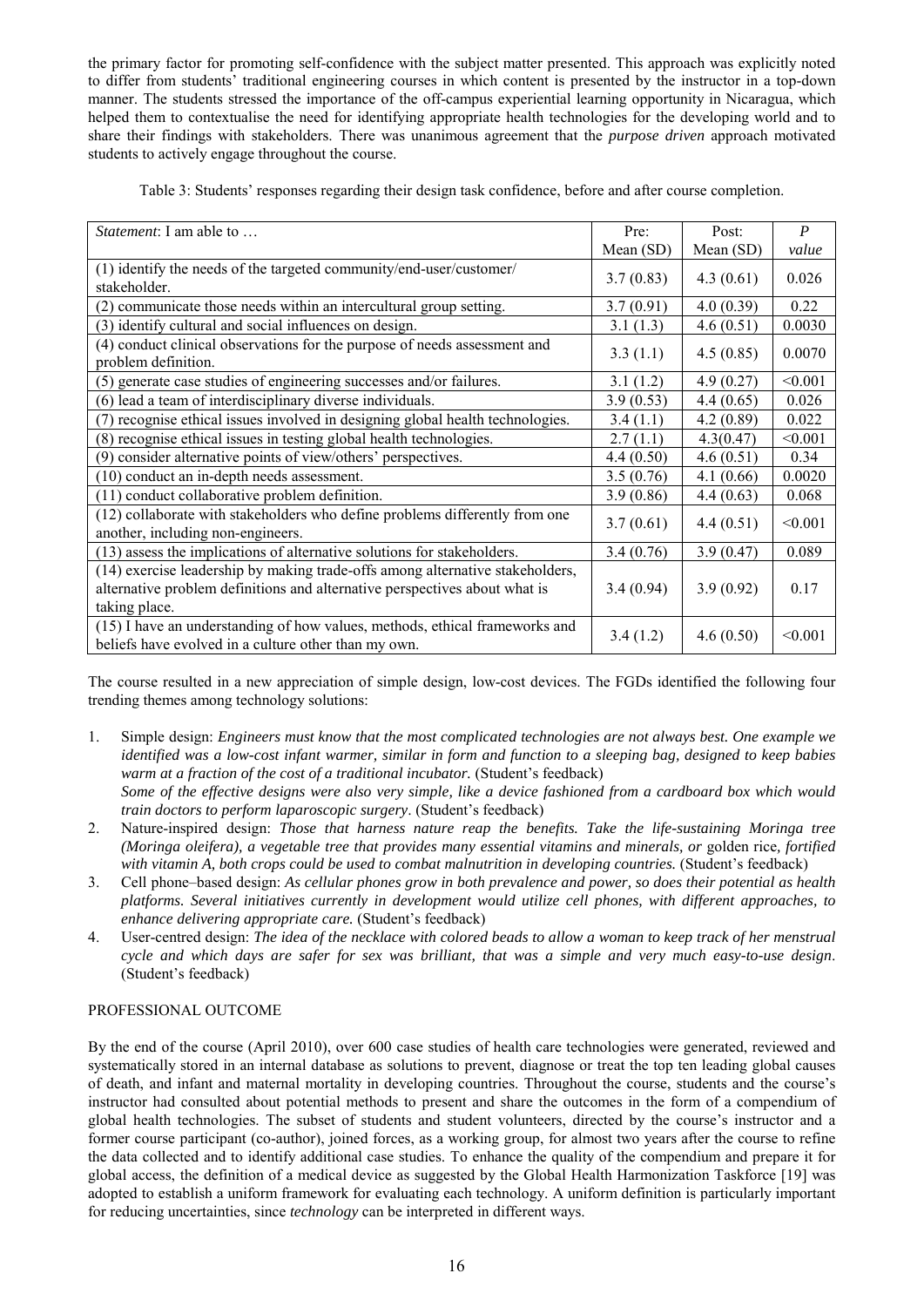the primary factor for promoting self-confidence with the subject matter presented. This approach was explicitly noted to differ from students' traditional engineering courses in which content is presented by the instructor in a top-down manner. The students stressed the importance of the off-campus experiential learning opportunity in Nicaragua, which helped them to contextualise the need for identifying appropriate health technologies for the developing world and to share their findings with stakeholders. There was unanimous agreement that the *purpose driven* approach motivated students to actively engage throughout the course.

|  |  |  | Table 3: Students' responses regarding their design task confidence, before and after course completion. |  |
|--|--|--|----------------------------------------------------------------------------------------------------------|--|
|--|--|--|----------------------------------------------------------------------------------------------------------|--|

| Statement: I am able to                                                                                                                                                      | Pre:      | Post:     | $\boldsymbol{P}$ |
|------------------------------------------------------------------------------------------------------------------------------------------------------------------------------|-----------|-----------|------------------|
|                                                                                                                                                                              | Mean (SD) | Mean (SD) | value            |
| (1) identify the needs of the targeted community/end-user/customer/<br>stakeholder.                                                                                          | 3.7(0.83) | 4.3(0.61) | 0.026            |
| (2) communicate those needs within an intercultural group setting.                                                                                                           | 3.7(0.91) | 4.0(0.39) | 0.22             |
| (3) identify cultural and social influences on design.                                                                                                                       | 3.1(1.3)  | 4.6(0.51) | 0.0030           |
| (4) conduct clinical observations for the purpose of needs assessment and<br>problem definition.                                                                             | 3.3(1.1)  | 4.5(0.85) | 0.0070           |
| (5) generate case studies of engineering successes and/or failures.                                                                                                          | 3.1(1.2)  | 4.9(0.27) | < 0.001          |
| (6) lead a team of interdisciplinary diverse individuals.                                                                                                                    | 3.9(0.53) | 4.4(0.65) | 0.026            |
| (7) recognise ethical issues involved in designing global health technologies.                                                                                               | 3.4(1.1)  | 4.2(0.89) | 0.022            |
| (8) recognise ethical issues in testing global health technologies.                                                                                                          | 2.7(1.1)  | 4.3(0.47) | < 0.001          |
| (9) consider alternative points of view/others' perspectives.                                                                                                                | 4.4(0.50) | 4.6(0.51) | 0.34             |
| (10) conduct an in-depth needs assessment.                                                                                                                                   | 3.5(0.76) | 4.1(0.66) | 0.0020           |
| (11) conduct collaborative problem definition.                                                                                                                               | 3.9(0.86) | 4.4(0.63) | 0.068            |
| (12) collaborate with stakeholders who define problems differently from one<br>another, including non-engineers.                                                             | 3.7(0.61) | 4.4(0.51) | < 0.001          |
| (13) assess the implications of alternative solutions for stakeholders.                                                                                                      | 3.4(0.76) | 3.9(0.47) | 0.089            |
| (14) exercise leadership by making trade-offs among alternative stakeholders,<br>alternative problem definitions and alternative perspectives about what is<br>taking place. | 3.4(0.94) | 3.9(0.92) | 0.17             |
| (15) I have an understanding of how values, methods, ethical frameworks and<br>beliefs have evolved in a culture other than my own.                                          | 3.4(1.2)  | 4.6(0.50) | < 0.001          |

The course resulted in a new appreciation of simple design, low-cost devices. The FGDs identified the following four trending themes among technology solutions:

- 1. Simple design: *Engineers must know that the most complicated technologies are not always best. One example we identified was a low-cost infant warmer, similar in form and function to a sleeping bag, designed to keep babies warm at a fraction of the cost of a traditional incubator.* (Student's feedback) *Some of the effective designs were also very simple, like a device fashioned from a cardboard box which would train doctors to perform laparoscopic surgery*. (Student's feedback)
- 2. Nature-inspired design: *Those that harness nature reap the benefits. Take the life-sustaining Moringa tree (Moringa oleifera), a vegetable tree that provides many essential vitamins and minerals, or* golden rice*, fortified with vitamin A, both crops could be used to combat malnutrition in developing countries.* (Student's feedback)
- 3. Cell phone–based design: *As cellular phones grow in both prevalence and power, so does their potential as health platforms. Several initiatives currently in development would utilize cell phones, with different approaches, to enhance delivering appropriate care.* (Student's feedback)
- 4. User-centred design: *The idea of the necklace with colored beads to allow a woman to keep track of her menstrual cycle and which days are safer for sex was brilliant, that was a simple and very much easy-to-use design*. (Student's feedback)

# PROFESSIONAL OUTCOME

By the end of the course (April 2010), over 600 case studies of health care technologies were generated, reviewed and systematically stored in an internal database as solutions to prevent, diagnose or treat the top ten leading global causes of death, and infant and maternal mortality in developing countries. Throughout the course, students and the course's instructor had consulted about potential methods to present and share the outcomes in the form of a compendium of global health technologies. The subset of students and student volunteers, directed by the course's instructor and a former course participant (co-author), joined forces, as a working group, for almost two years after the course to refine the data collected and to identify additional case studies. To enhance the quality of the compendium and prepare it for global access, the definition of a medical device as suggested by the Global Health Harmonization Taskforce [\[19\]](#page-6-7) was adopted to establish a uniform framework for evaluating each technology. A uniform definition is particularly important for reducing uncertainties, since *technology* can be interpreted in different ways.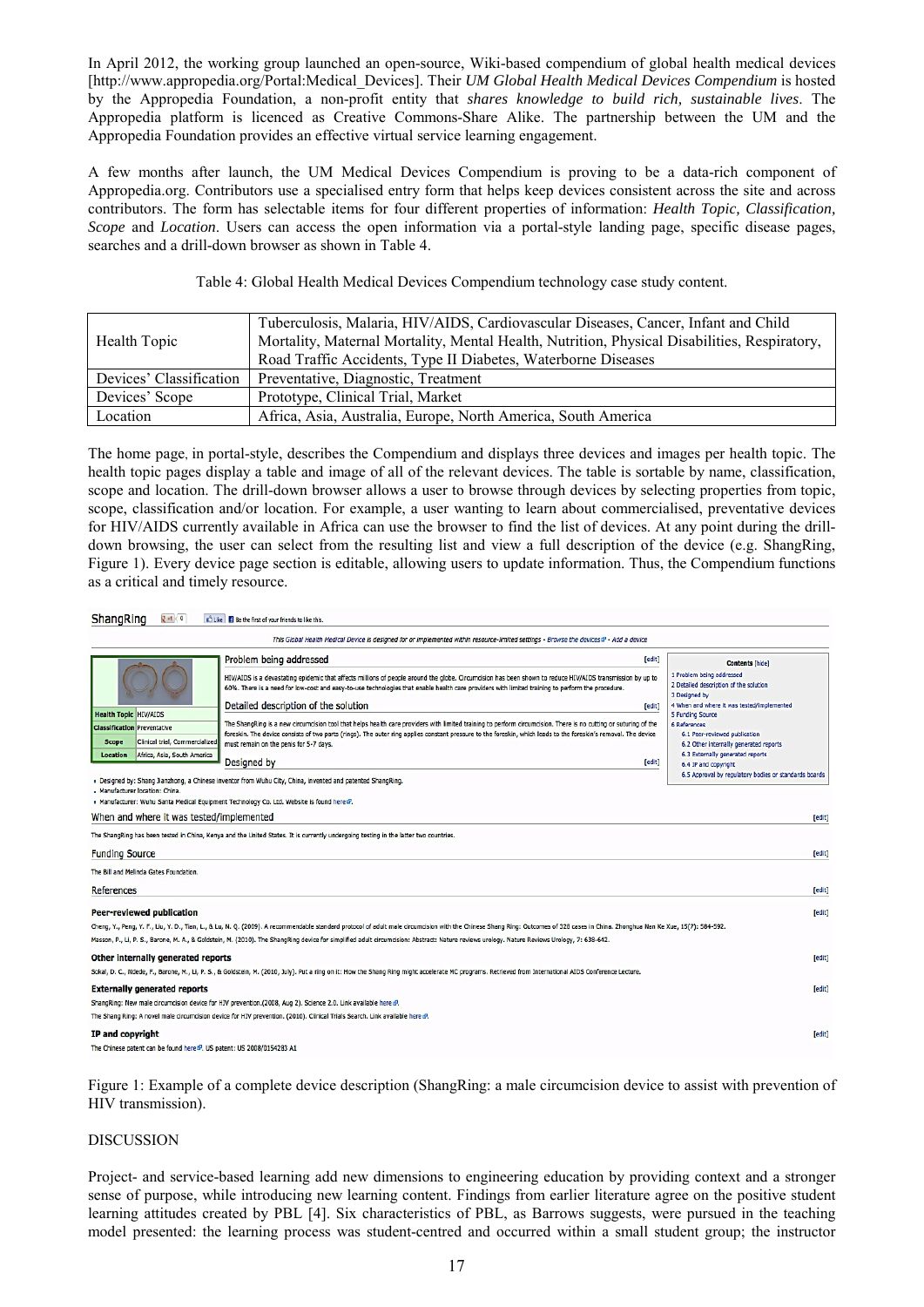In April 2012, the working group launched an open-source, Wiki-based compendium of global health medical devices [http://www.appropedia.org/Portal:Medical\_Devices]. Their *UM Global Health Medical Devices Compendium* is hosted by the Appropedia Foundation, a non-profit entity that *shares knowledge to build rich, sustainable lives*. The Appropedia platform is licenced as Creative Commons-Share Alike. The partnership between the UM and the Appropedia Foundation provides an effective virtual service learning engagement.

A few months after launch, the UM Medical Devices Compendium is proving to be a data-rich component of Appropedia.org. Contributors use a specialised entry form that helps keep devices consistent across the site and across contributors. The form has selectable items for four different properties of information: *Health Topic, Classification, Scope* and *Location*. Users can access the open information via a portal-style landing page, specific disease pages, searches and a drill-down browser as shown in Table 4.

Table 4: Global Health Medical Devices Compendium technology case study content.

|                         | Tuberculosis, Malaria, HIV/AIDS, Cardiovascular Diseases, Cancer, Infant and Child           |
|-------------------------|----------------------------------------------------------------------------------------------|
| Health Topic            | Mortality, Maternal Mortality, Mental Health, Nutrition, Physical Disabilities, Respiratory, |
|                         | Road Traffic Accidents, Type II Diabetes, Waterborne Diseases                                |
| Devices' Classification | Preventative, Diagnostic, Treatment                                                          |
| Devices' Scope          | Prototype, Clinical Trial, Market                                                            |
| Location                | Africa, Asia, Australia, Europe, North America, South America                                |

The home page, in portal-style, describes the Compendium and displays three devices and images per health topic. The health topic pages display a table and image of all of the relevant devices. The table is sortable by name, classification, scope and location. The drill-down browser allows a user to browse through devices by selecting properties from topic, scope, classification and/or location. For example, a user wanting to learn about commercialised, preventative devices for HIV/AIDS currently available in Africa can use the browser to find the list of devices. At any point during the drilldown browsing, the user can select from the resulting list and view a full description of the device (e.g. ShangRing, Figure 1). Every device page section is editable, allowing users to update information. Thus, the Compendium functions as a critical and timely resource.

### ShangRing Ran D Cuke B Be the first of your friends to like this.

|                                                                                                                                                                 | Problem being addressed<br>[edit]                                                                                                                                                                                                                                                                                                                                                                                                                                                                                   |                                                                                                                                                                                                                                         |
|-----------------------------------------------------------------------------------------------------------------------------------------------------------------|---------------------------------------------------------------------------------------------------------------------------------------------------------------------------------------------------------------------------------------------------------------------------------------------------------------------------------------------------------------------------------------------------------------------------------------------------------------------------------------------------------------------|-----------------------------------------------------------------------------------------------------------------------------------------------------------------------------------------------------------------------------------------|
|                                                                                                                                                                 | HIV/AIDS is a devastating epidemic that affects millions of people around the globe. Circumcision has been shown to reduce HIV/AIDS transmission by up to<br>60%. There is a need for low-cost and easy-to-use technologies that enable health care providers with limited training to perform the procedure.<br>Detailed description of the solution<br>[edit]                                                                                                                                                     | <b>Contents [hide]</b><br>1 Problem being addressed<br>2 Detailed description of the solution<br>3 Designed by<br>4 When and where it was tested/implemented                                                                            |
| <b>Health Topic HIV/AIDS</b><br><b>Classification</b> Preventative<br>Clinical trial, Commercialized<br><b>Scope</b><br>Location<br>Africa, Asia, South America | The ShangRing is a new circumcision tool that helps health care providers with limited training to perform circumcision. There is no cutting or suturing of the<br>foreskin. The device consists of two parts (rings). The outer ring applies constant pressure to the foreskin, which leads to the foreskin's removal. The device<br>must remain on the penis for 5-7 days.<br>Designed by<br>[edit]<br>. Designed by: Shang Jianzhong, a Chinese inventor from Wuhu City, China, invented and patented ShangRing. | 5 Funding Source<br><b>6 References</b><br>6.1 Peer-reviewed publication<br>6.2 Other internally generated reports<br>6.3 Externally generated reports<br>6.4 IP and copyright<br>6.5 Approval by regulatory bodies or standards boards |
| . Manufacturer location: China.                                                                                                                                 | » Manufacturer: Wuhu Santa Medical Equipment Technology Co. Ltd. Website is found here $\mathcal{C}$ .                                                                                                                                                                                                                                                                                                                                                                                                              |                                                                                                                                                                                                                                         |
| When and where it was tested/implemented                                                                                                                        |                                                                                                                                                                                                                                                                                                                                                                                                                                                                                                                     | [edit]                                                                                                                                                                                                                                  |
|                                                                                                                                                                 |                                                                                                                                                                                                                                                                                                                                                                                                                                                                                                                     |                                                                                                                                                                                                                                         |
|                                                                                                                                                                 | The ShangRing has been tested in China, Kenya and the United States. It is currently undergoing testing in the latter two countries.                                                                                                                                                                                                                                                                                                                                                                                |                                                                                                                                                                                                                                         |
| <b>Funding Source</b>                                                                                                                                           |                                                                                                                                                                                                                                                                                                                                                                                                                                                                                                                     | [edit]                                                                                                                                                                                                                                  |
| The Bill and Melinda Gates Foundation.                                                                                                                          |                                                                                                                                                                                                                                                                                                                                                                                                                                                                                                                     |                                                                                                                                                                                                                                         |
| <b>References</b>                                                                                                                                               |                                                                                                                                                                                                                                                                                                                                                                                                                                                                                                                     | [edit]                                                                                                                                                                                                                                  |
| Peer-reviewed publication                                                                                                                                       |                                                                                                                                                                                                                                                                                                                                                                                                                                                                                                                     | [edit]                                                                                                                                                                                                                                  |
|                                                                                                                                                                 | Cheng, Y., Peng, Y. F., Liu, Y. D., Tian, L., & Lu, N. Q. (2009). A recommendable standard protocol of adult male circumcision with the Chinese Shang Ring: Outcomes of 328 cases in China. Zhonghua Nan Ke Xue, 15(7): 584-59                                                                                                                                                                                                                                                                                      |                                                                                                                                                                                                                                         |
|                                                                                                                                                                 | Masson, P., Li, P. S., Barone, M. A., & Goldstein, M. (2010). The ShangRing device for simplified adult circumcision: Abstract: Nature reviews urology. Nature Reviews Urology, 7: 638-642.                                                                                                                                                                                                                                                                                                                         |                                                                                                                                                                                                                                         |
| Other internally generated reports                                                                                                                              |                                                                                                                                                                                                                                                                                                                                                                                                                                                                                                                     | [edit]                                                                                                                                                                                                                                  |
|                                                                                                                                                                 | Sokal, D. C., Ndede, F., Barone, M., Li, P. S., & Goldstein, M. (2010, July). Put a ring on it: How the Shang Ring might accelerate MC programs. Retrieved from International AIDS Conference Lecture.                                                                                                                                                                                                                                                                                                              |                                                                                                                                                                                                                                         |
| <b>Externally generated reports</b>                                                                                                                             |                                                                                                                                                                                                                                                                                                                                                                                                                                                                                                                     | [edit]                                                                                                                                                                                                                                  |
|                                                                                                                                                                 | ShangRing: New male circumcision device for HIV prevention.(2008, Aug 2). Science 2.0. Link available here B.                                                                                                                                                                                                                                                                                                                                                                                                       |                                                                                                                                                                                                                                         |
|                                                                                                                                                                 | The Shang Ring: A novel male circumcision device for HIV prevention. (2010). Clinical Trials Search. Link available here $E$ .                                                                                                                                                                                                                                                                                                                                                                                      |                                                                                                                                                                                                                                         |
| IP and copyright                                                                                                                                                |                                                                                                                                                                                                                                                                                                                                                                                                                                                                                                                     | [edit]                                                                                                                                                                                                                                  |
| The Chinese patent can be found here <sup>2</sup> . US patent: US 2008/0154283 A1                                                                               |                                                                                                                                                                                                                                                                                                                                                                                                                                                                                                                     |                                                                                                                                                                                                                                         |

Figure 1: Example of a complete device description (ShangRing: a male circumcision device to assist with prevention of HIV transmission).

#### DISCUSSION

Project- and service-based learning add new dimensions to engineering education by providing context and a stronger sense of purpose, while introducing new learning content. Findings from earlier literature agree on the positive student learning attitudes created by PBL [\[4\]](#page-5-3). Six characteristics of PBL, as Barrows suggests, were pursued in the teaching model presented: the learning process was student-centred and occurred within a small student group; the instructor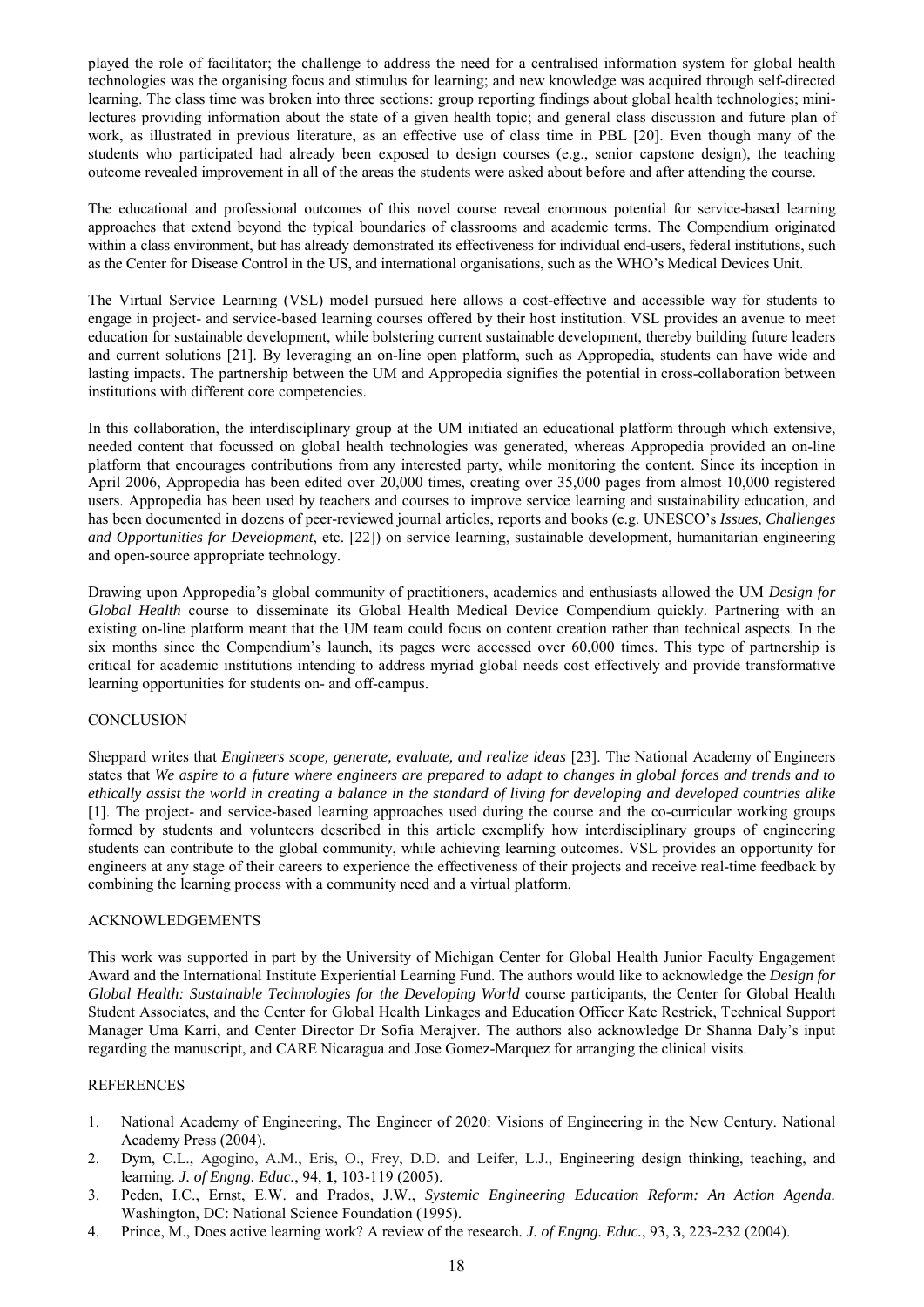played the role of facilitator; the challenge to address the need for a centralised information system for global health technologies was the organising focus and stimulus for learning; and new knowledge was acquired through self-directed learning. The class time was broken into three sections: group reporting findings about global health technologies; minilectures providing information about the state of a given health topic; and general class discussion and future plan of work, as illustrated in previous literature, as an effective use of class time in PBL [\[20\]](#page-6-8). Even though many of the students who participated had already been exposed to design courses (e.g., senior capstone design), the teaching outcome revealed improvement in all of the areas the students were asked about before and after attending the course.

The educational and professional outcomes of this novel course reveal enormous potential for service-based learning approaches that extend beyond the typical boundaries of classrooms and academic terms. The Compendium originated within a class environment, but has already demonstrated its effectiveness for individual end-users, federal institutions, such as the Center for Disease Control in the US, and international organisations, such as the WHO's Medical Devices Unit.

The Virtual Service Learning (VSL) model pursued here allows a cost-effective and accessible way for students to engage in project- and service-based learning courses offered by their host institution. VSL provides an avenue to meet education for sustainable development, while bolstering current sustainable development, thereby building future leaders and current solutions [\[21\]](#page-6-9). By leveraging an on-line open platform, such as Appropedia, students can have wide and lasting impacts. The partnership between the UM and Appropedia signifies the potential in cross-collaboration between institutions with different core competencies.

In this collaboration, the interdisciplinary group at the UM initiated an educational platform through which extensive, needed content that focussed on global health technologies was generated, whereas Appropedia provided an on-line platform that encourages contributions from any interested party, while monitoring the content. Since its inception in April 2006, Appropedia has been edited over 20,000 times, creating over 35,000 pages from almost 10,000 registered users. Appropedia has been used by teachers and courses to improve service learning and sustainability education, and has been documented in dozens of peer-reviewed journal articles, reports and books (e.g. UNESCO's *Issues, Challenges and Opportunities for Development*, etc. [\[22\]](#page-6-10)) on service learning, sustainable development, humanitarian engineering and open-source appropriate technology.

Drawing upon Appropedia's global community of practitioners, academics and enthusiasts allowed the UM *Design for Global Health* course to disseminate its Global Health Medical Device Compendium quickly. Partnering with an existing on-line platform meant that the UM team could focus on content creation rather than technical aspects. In the six months since the Compendium's launch, its pages were accessed over 60,000 times. This type of partnership is critical for academic institutions intending to address myriad global needs cost effectively and provide transformative learning opportunities for students on- and off-campus.

# **CONCLUSION**

Sheppard writes that *Engineers scope, generate, evaluate, and realize ideas* [23]. The National Academy of Engineers states that *We aspire to a future where engineers are prepared to adapt to changes in global forces and trends and to ethically assist the world in creating a balance in the standard of living for developing and developed countries alike* [1]. The project- and service-based learning approaches used during the course and the co-curricular working groups formed by students and volunteers described in this article exemplify how interdisciplinary groups of engineering students can contribute to the global community, while achieving learning outcomes. VSL provides an opportunity for engineers at any stage of their careers to experience the effectiveness of their projects and receive real-time feedback by combining the learning process with a community need and a virtual platform.

# ACKNOWLEDGEMENTS

This work was supported in part by the University of Michigan Center for Global Health Junior Faculty Engagement Award and the International Institute Experiential Learning Fund. The authors would like to acknowledge the *Design for Global Health: Sustainable Technologies for the Developing World* course participants, the Center for Global Health Student Associates, and the Center for Global Health Linkages and Education Officer Kate Restrick, Technical Support Manager Uma Karri, and Center Director Dr Sofia Merajver. The authors also acknowledge Dr Shanna Daly's input regarding the manuscript, and CARE Nicaragua and Jose Gomez-Marquez for arranging the clinical visits.

#### **REFERENCES**

- <span id="page-5-1"></span><span id="page-5-0"></span>1. National Academy of Engineering, The Engineer of 2020: Visions of Engineering in the New Century. National Academy Press (2004).
- <span id="page-5-2"></span>2. Dym, C.L., Agogino, A.M., Eris, O., Frey, D.D. and Leifer, L.J., Engineering design thinking, teaching, and learning*. J. of Engng. Educ.*, 94, **1**, 103-119 (2005).
- <span id="page-5-3"></span>3. Peden, I.C., Ernst, E.W. and Prados, J.W., *Systemic Engineering Education Reform: An Action Agenda.* Washington, DC: National Science Foundation (1995).
- <span id="page-5-4"></span>4. Prince, M., Does active learning work? A review of the research*. J. of Engng. Educ.*, 93, **3**, 223-232 (2004).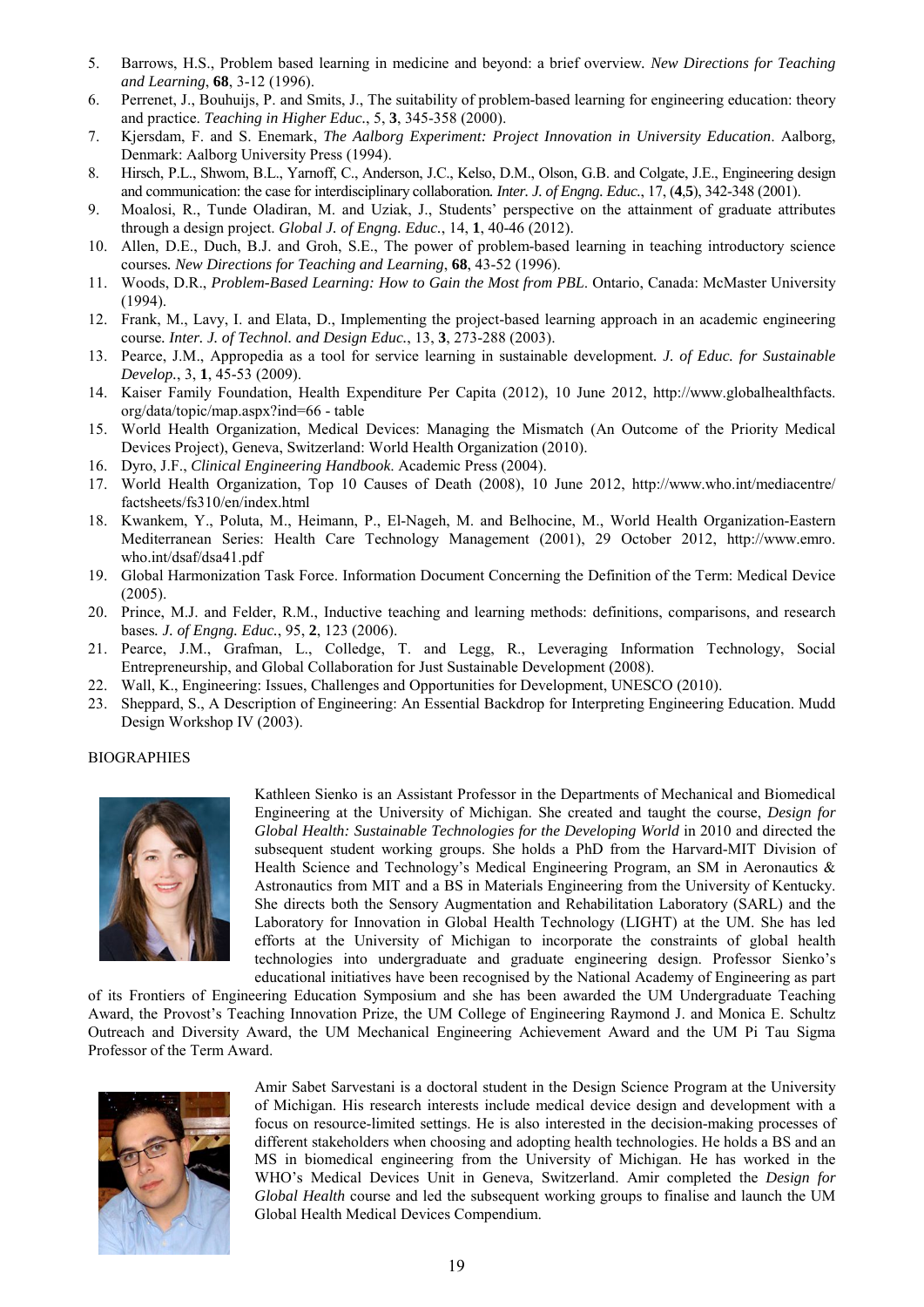- <span id="page-6-0"></span>5. Barrows, H.S., Problem based learning in medicine and beyond: a brief overview*. New Directions for Teaching and Learning*, **68**, 3-12 (1996).
- <span id="page-6-1"></span>6. Perrenet, J., Bouhuijs, P. and Smits, J., The suitability of problem-based learning for engineering education: theory and practice. *Teaching in Higher Educ.*, 5, **3**, 345-358 (2000).
- 7. Kjersdam, F. and S. Enemark, *The Aalborg Experiment: Project Innovation in University Education*. Aalborg, Denmark: Aalborg University Press (1994).
- 8. Hirsch, P.L., Shwom, B.L., Yarnoff, C., Anderson, J.C., Kelso, D.M., Olson, G.B. and Colgate, J.E., Engineering design and communication: the case for interdisciplinary collaboration*. Inter. J. of Engng. Educ.*, 17, (**4**,**5**), 342-348 (2001).
- 9. Moalosi, R., Tunde Oladiran, M. and Uziak, J., Students' perspective on the attainment of graduate attributes through a design project. *Global J. of Engng. Educ.*, 14, **1**, 40-46 (2012).
- 10. Allen, D.E., Duch, B.J. and Groh, S.E., The power of problem-based learning in teaching introductory science courses*. New Directions for Teaching and Learning*, **68**, 43-52 (1996).
- 11. Woods, D.R., *Problem-Based Learning: How to Gain the Most from PBL*. Ontario, Canada: McMaster University (1994).
- 12. Frank, M., Lavy, I. and Elata, D., Implementing the project-based learning approach in an academic engineering course*. Inter. J. of Technol. and Design Educ.*, 13, **3**, 273-288 (2003).
- <span id="page-6-3"></span><span id="page-6-2"></span>13. Pearce, J.M., Appropedia as a tool for service learning in sustainable development*. J. of Educ. for Sustainable Develop.*, 3, **1**, 45-53 (2009).
- <span id="page-6-4"></span>14. Kaiser Family Foundation, Health Expenditure Per Capita (2012), 10 June 2012, http://www.globalhealthfacts. org/data/topic/map.aspx?ind=66 - table
- 15. World Health Organization, Medical Devices: Managing the Mismatch (An Outcome of the Priority Medical Devices Project), Geneva, Switzerland: World Health Organization (2010).
- 16. Dyro, J.F., *Clinical Engineering Handbook*. Academic Press (2004).
- 17. World Health Organization, Top 10 Causes of Death (2008), 10 June 2012, http://www.who.int/mediacentre/ factsheets/fs310/en/index.html
- 18. Kwankem, Y., Poluta, M., Heimann, P., El-Nageh, M. and Belhocine, M., World Health Organization-Eastern Mediterranean Series: Health Care Technology Management (2001), 29 October 2012, http://www.emro. who.int/dsaf/dsa41.pdf
- <span id="page-6-7"></span><span id="page-6-6"></span>19. Global Harmonization Task Force. Information Document Concerning the Definition of the Term: Medical Device (2005).
- 20. Prince, M.J. and Felder, R.M., Inductive teaching and learning methods: definitions, comparisons, and research bases*. J. of Engng. Educ.*, 95, **2**, 123 (2006).
- 21. Pearce, J.M., Grafman, L., Colledge, T. and Legg, R., Leveraging Information Technology, Social Entrepreneurship, and Global Collaboration for Just Sustainable Development (2008).
- 22. Wall, K., Engineering: Issues, Challenges and Opportunities for Development, UNESCO (2010).
- 23. Sheppard, S., A Description of Engineering: An Essential Backdrop for Interpreting Engineering Education. Mudd Design Workshop IV (2003).

### **BIOGRAPHIES**



<span id="page-6-10"></span><span id="page-6-9"></span><span id="page-6-8"></span><span id="page-6-5"></span>Kathleen Sienko is an Assistant Professor in the Departments of Mechanical and Biomedical Engineering at the University of Michigan. She created and taught the course, *Design for Global Health: Sustainable Technologies for the Developing World* in 2010 and directed the subsequent student working groups. She holds a PhD from the Harvard-MIT Division of Health Science and Technology's Medical Engineering Program, an SM in Aeronautics & Astronautics from MIT and a BS in Materials Engineering from the University of Kentucky. She directs both the Sensory Augmentation and Rehabilitation Laboratory (SARL) and the Laboratory for Innovation in Global Health Technology (LIGHT) at the UM. She has led efforts at the University of Michigan to incorporate the constraints of global health technologies into undergraduate and graduate engineering design. Professor Sienko's educational initiatives have been recognised by the National Academy of Engineering as part

of its Frontiers of Engineering Education Symposium and she has been awarded the UM Undergraduate Teaching Award, the Provost's Teaching Innovation Prize, the UM College of Engineering Raymond J. and Monica E. Schultz Outreach and Diversity Award, the UM Mechanical Engineering Achievement Award and the UM Pi Tau Sigma Professor of the Term Award.



Amir Sabet Sarvestani is a doctoral student in the Design Science Program at the University of Michigan. His research interests include medical device design and development with a focus on resource-limited settings. He is also interested in the decision-making processes of different stakeholders when choosing and adopting health technologies. He holds a BS and an MS in biomedical engineering from the University of Michigan. He has worked in the WHO's Medical Devices Unit in Geneva, Switzerland. Amir completed the *Design for Global Health* course and led the subsequent working groups to finalise and launch the UM Global Health Medical Devices Compendium.